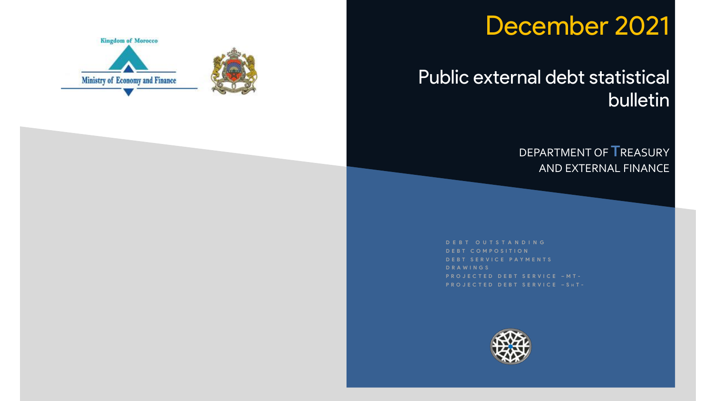# December 2021

## Public external debt statistical bulletin

### DEPARTMENT OF **T**REASURY AND EXTERNAL FINANCE

**D E B T O U T S T A N D I N G D E B T C O M P O S I T I O N D E B T S E R V I C E P A Y M E N T S D R A W I N G S P R O J E C T E D D E B T S E R V I C E – M T - P R O J E C T E D D E B T S E R V I C E – S H T -**



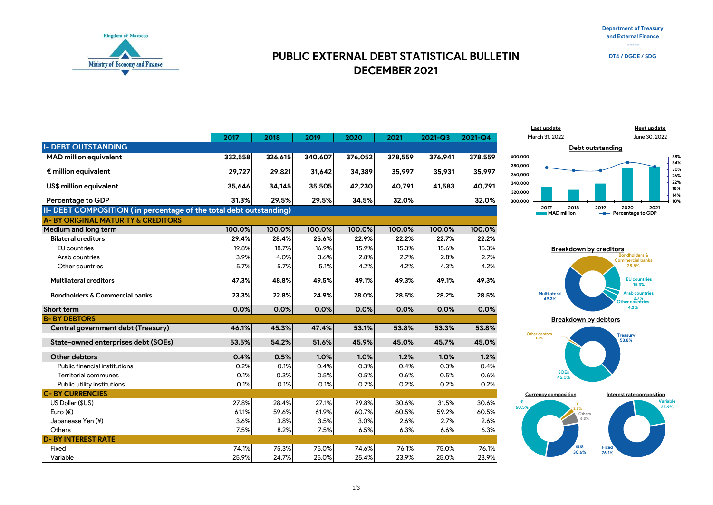**Department of Treasury and External Finance -----**



#### **DECEMBER 2021 PUBLIC EXTERNAL DEBT STATISTICAL BULLETIN DT4/DGDE/SDG**





**Breakdown by debtors**





|                                                                    | 2017    | 2018    | 2019    | 2020    | 2021    | $2021 - Q3$ | 2021-Q4 |
|--------------------------------------------------------------------|---------|---------|---------|---------|---------|-------------|---------|
| <b>I- DEBT OUTSTANDING</b>                                         |         |         |         |         |         |             |         |
| <b>MAD million equivalent</b>                                      | 332,558 | 326,615 | 340,607 | 376,052 | 378,559 | 376,941     | 378,559 |
| $\epsilon$ million equivalent                                      | 29,727  | 29,821  | 31,642  | 34,389  | 35,997  | 35,931      | 35,997  |
| US\$ million equivalent                                            | 35,646  | 34,145  | 35,505  | 42,230  | 40,791  | 41,583      | 40,791  |
| <b>Percentage to GDP</b>                                           | 31.3%   | 29.5%   | 29.5%   | 34.5%   | 32.0%   |             | 32.0%   |
| II- DEBT COMPOSITION (in percentage of the total debt outstanding) |         |         |         |         |         |             |         |
| <b>A-BY ORIGINAL MATURITY &amp; CREDITORS</b>                      |         |         |         |         |         |             |         |
| <b>Medium and long term</b>                                        | 100.0%  | 100.0%  | 100.0%  | 100.0%  | 100.0%  | 100.0%      | 100.0%  |
| <b>Bilateral creditors</b>                                         | 29.4%   | 28.4%   | 25.6%   | 22.9%   | 22.2%   | 22.7%       | 22.2%   |
| <b>EU</b> countries                                                | 19.8%   | 18.7%   | 16.9%   | 15.9%   | 15.3%   | 15.6%       | 15.3%   |
| Arab countries                                                     | 3.9%    | 4.0%    | 3.6%    | 2.8%    | 2.7%    | 2.8%        | 2.7%    |
| Other countries                                                    | 5.7%    | 5.7%    | 5.1%    | 4.2%    | 4.2%    | 4.3%        | 4.2%    |
| <b>Multilateral creditors</b>                                      | 47.3%   | 48.8%   | 49.5%   | 49.1%   | 49.3%   | 49.1%       | 49.3%   |
| <b>Bondholders &amp; Commercial banks</b>                          | 23.3%   | 22.8%   | 24.9%   | 28.0%   | 28.5%   | 28.2%       | 28.5%   |
| <b>Short term</b>                                                  | 0.0%    | 0.0%    | 0.0%    | 0.0%    | 0.0%    | 0.0%        | 0.0%    |
| <b>B-BY DEBTORS</b>                                                |         |         |         |         |         |             |         |
| Central government debt (Treasury)                                 | 46.1%   | 45.3%   | 47.4%   | 53.1%   | 53.8%   | 53.3%       | 53.8%   |
| State-owned enterprises debt (SOEs)                                | 53.5%   | 54.2%   | 51.6%   | 45.9%   | 45.0%   | 45.7%       | 45.0%   |
| Other debtors                                                      | 0.4%    | 0.5%    | 1.0%    | 1.0%    | 1.2%    | 1.0%        | 1.2%    |
| <b>Public financial institutions</b>                               | 0.2%    | 0.1%    | 0.4%    | 0.3%    | 0.4%    | 0.3%        | 0.4%    |
| <b>Territorial communes</b>                                        | 0.1%    | 0.3%    | 0.5%    | 0.5%    | 0.6%    | 0.5%        | 0.6%    |
| Public utility institutions                                        | 0.1%    | 0.1%    | 0.1%    | 0.2%    | 0.2%    | 0.2%        | 0.2%    |
| <b>C-BY CURRENCIES</b>                                             |         |         |         |         |         |             |         |
| US Dollar (\$US)                                                   | 27.8%   | 28.4%   | 27.1%   | 29.8%   | 30.6%   | 31.5%       | 30.6%   |
| Euro $(\epsilon)$                                                  | 61.1%   | 59.6%   | 61.9%   | 60.7%   | 60.5%   | 59.2%       | 60.5%   |
| Japanease Yen (¥)                                                  | 3.6%    | 3.8%    | 3.5%    | 3.0%    | 2.6%    | 2.7%        | 2.6%    |
| Others                                                             | 7.5%    | 8.2%    | 7.5%    | 6.5%    | 6.3%    | 6.6%        | 6.3%    |
| <b>D-BY INTEREST RATE</b>                                          |         |         |         |         |         |             |         |
| Fixed                                                              | 74.1%   | 75.3%   | 75.0%   | 74.6%   | 76.1%   | 75.0%       | 76.1%   |
| Variable                                                           | 25.9%   | 24.7%   | 25.0%   | 25.4%   | 23.9%   | 25.0%       | 23.9%   |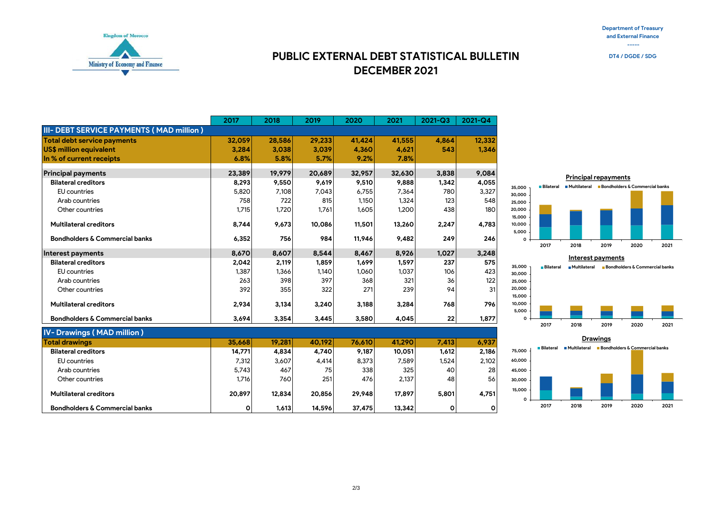**Department of Treasury and External Finance -----**



#### **DECEMBER 2021 PUBLIC EXTERNAL DEBT STATISTICAL BULLETIN DT4/DGDE/SDG**

|                                           | 2017    | 2018   | 2019   | 2020   | 2021   | $2021 - Q3$ | 2021-Q4      |
|-------------------------------------------|---------|--------|--------|--------|--------|-------------|--------------|
| III- DEBT SERVICE PAYMENTS (MAD million)  |         |        |        |        |        |             |              |
| <b>Total debt service payments</b>        | 32,059  | 28,586 | 29,233 | 41.424 | 41,555 | 4.864       | 12,332       |
| US\$ million equivalent                   | 3.284   | 3,038  | 3.039  | 4,360  | 4.621  | 543         | 1,346        |
| In % of current receipts                  | 6.8%    | 5.8%   | 5.7%   | 9.2%   | 7.8%   |             |              |
| <b>Principal payments</b>                 | 23,389  | 19,979 | 20,689 | 32,957 | 32,630 | 3.838       | 9,084        |
| <b>Bilateral creditors</b>                | 8,293   | 9,550  | 9,619  | 9,510  | 9,888  | 1,342       | 4,055        |
| <b>EU</b> countries                       | 5,820   | 7,108  | 7,043  | 6,755  | 7,364  | 780         | 3,327        |
| Arab countries                            | 758     | 722    | 815    | 1,150  | 1,324  | 123         | 548          |
| Other countries                           | 1,715   | 1,720  | 1,761  | 1,605  | 1,200  | 438         | 180          |
| <b>Multilateral creditors</b>             | 8.744   | 9,673  | 10,086 | 11,501 | 13,260 | 2,247       | 4,783        |
| <b>Bondholders &amp; Commercial banks</b> | 6,352   | 756    | 984    | 11,946 | 9,482  | 249         | 246          |
| Interest payments                         | 8,670   | 8,607  | 8,544  | 8,467  | 8,926  | 1,027       | 3,248        |
| <b>Bilateral creditors</b>                | 2,042   | 2,119  | 1,859  | 1,699  | 1,597  | 237         | 575          |
| <b>EU</b> countries                       | 1.387   | 1.366  | 1,140  | 1.060  | 1,037  | 106         | 423          |
| Arab countries                            | 263     | 398    | 397    | 368    | 321    | 36          | 122          |
| Other countries                           | 392     | 355    | 322    | 271    | 239    | 94          | 31           |
| <b>Multilateral creditors</b>             | 2,934   | 3,134  | 3,240  | 3,188  | 3,284  | 768         | 796          |
| <b>Bondholders &amp; Commercial banks</b> | 3.694   | 3,354  | 3,445  | 3,580  | 4.045  | 22          | 1,877        |
| <b>IV- Drawings (MAD million)</b>         |         |        |        |        |        |             |              |
| <b>Total drawings</b>                     | 35,668  | 19,281 | 40,192 | 76,610 | 41,290 | 7,413       | 6,937        |
| <b>Bilateral creditors</b>                | 14,771  | 4,834  | 4,740  | 9,187  | 10,051 | 1,612       | 2,186        |
| <b>EU</b> countries                       | 7,312   | 3,607  | 4,414  | 8,373  | 7,589  | 1,524       | 2,102        |
| Arab countries                            | 5,743   | 467    | 75     | 338    | 325    | 40          | 28           |
| Other countries                           | 1,716   | 760    | 251    | 476    | 2,137  | 48          | 56           |
| <b>Multilateral creditors</b>             | 20,897  | 12,834 | 20,856 | 29,948 | 17,897 | 5,801       | 4,751        |
| <b>Bondholders &amp; Commercial banks</b> | $\circ$ | 1,613  | 14,596 | 37,475 | 13,342 | 0           | $\mathbf{o}$ |